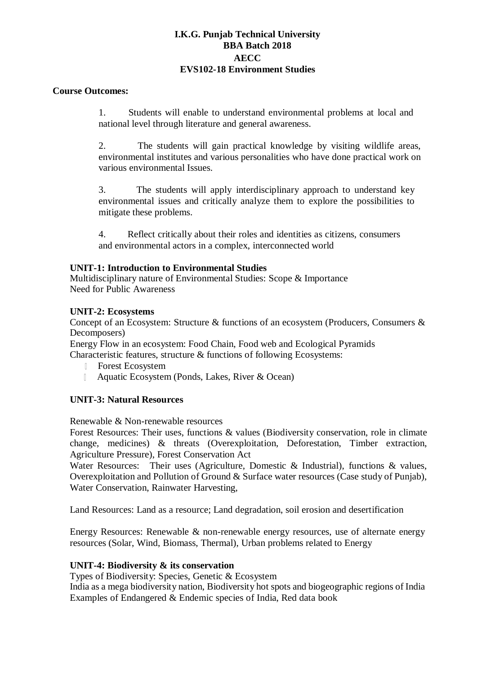# **I.K.G. Punjab Technical University BBA Batch 2018 AECC EVS102-18 Environment Studies**

#### **Course Outcomes:**

1. Students will enable to understand environmental problems at local and national level through literature and general awareness.

2. The students will gain practical knowledge by visiting wildlife areas, environmental institutes and various personalities who have done practical work on various environmental Issues.

3. The students will apply interdisciplinary approach to understand key environmental issues and critically analyze them to explore the possibilities to mitigate these problems.

4. Reflect critically about their roles and identities as citizens, consumers and environmental actors in a complex, interconnected world

### **UNIT-1: Introduction to Environmental Studies**

Multidisciplinary nature of Environmental Studies: Scope & Importance Need for Public Awareness

#### **UNIT-2: Ecosystems**

Concept of an Ecosystem: Structure & functions of an ecosystem (Producers, Consumers & Decomposers)

Energy Flow in an ecosystem: Food Chain, Food web and Ecological Pyramids Characteristic features, structure & functions of following Ecosystems:

- Forest Ecosystem  $\mathbb{R}$
- Aquatic Ecosystem (Ponds, Lakes, River & Ocean)  $\mathbb{L}$

### **UNIT-3: Natural Resources**

Renewable & Non-renewable resources

Forest Resources: Their uses, functions & values (Biodiversity conservation, role in climate change, medicines) & threats (Overexploitation, Deforestation, Timber extraction, Agriculture Pressure), Forest Conservation Act

Water Resources: Their uses (Agriculture, Domestic & Industrial), functions & values, Overexploitation and Pollution of Ground & Surface water resources (Case study of Punjab), Water Conservation, Rainwater Harvesting,

Land Resources: Land as a resource; Land degradation, soil erosion and desertification

Energy Resources: Renewable & non-renewable energy resources, use of alternate energy resources (Solar, Wind, Biomass, Thermal), Urban problems related to Energy

### **UNIT-4: Biodiversity & its conservation**

Types of Biodiversity: Species, Genetic & Ecosystem

India as a mega biodiversity nation, Biodiversity hot spots and biogeographic regions of India Examples of Endangered & Endemic species of India, Red data book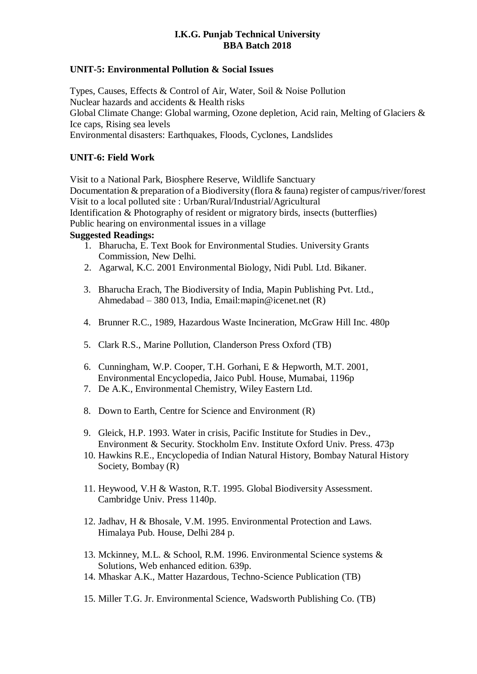# **I.K.G. Punjab Technical University BBA Batch 2018**

# **UNIT-5: Environmental Pollution & Social Issues**

Types, Causes, Effects & Control of Air, Water, Soil & Noise Pollution Nuclear hazards and accidents & Health risks Global Climate Change: Global warming, Ozone depletion, Acid rain, Melting of Glaciers & Ice caps, Rising sea levels Environmental disasters: Earthquakes, Floods, Cyclones, Landslides

### **UNIT-6: Field Work**

Visit to a National Park, Biosphere Reserve, Wildlife Sanctuary

Documentation & preparation of a Biodiversity (flora & fauna) register of campus/river/forest Visit to a local polluted site : Urban/Rural/Industrial/Agricultural Identification & Photography of resident or migratory birds, insects (butterflies)

Public hearing on environmental issues in a village

## **Suggested Readings:**

- 1. Bharucha, E. Text Book for Environmental Studies. University Grants Commission, New Delhi.
- 2. Agarwal, K.C. 2001 Environmental Biology, Nidi Publ. Ltd. Bikaner.
- 3. Bharucha Erach, The Biodiversity of India, Mapin Publishing Pvt. Ltd., Ahmedabad – 380 013, Indi[a, Email:mapin@icenet.net](mailto:Email:mapin@icenet.net) (R)
- 4. Brunner R.C., 1989, Hazardous Waste Incineration, McGraw Hill Inc. 480p
- 5. Clark R.S., Marine Pollution, Clanderson Press Oxford (TB)
- 6. Cunningham, W.P. Cooper, T.H. Gorhani, E & Hepworth, M.T. 2001, Environmental Encyclopedia, Jaico Publ. House, Mumabai, 1196p
- 7. De A.K., Environmental Chemistry, Wiley Eastern Ltd.
- 8. Down to Earth, Centre for Science and Environment (R)
- 9. Gleick, H.P. 1993. Water in crisis, Pacific Institute for Studies in Dev., Environment & Security. Stockholm Env. Institute Oxford Univ. Press. 473p
- 10. Hawkins R.E., Encyclopedia of Indian Natural History, Bombay Natural History Society, Bombay (R)
- 11. Heywood, V.H & Waston, R.T. 1995. Global Biodiversity Assessment. Cambridge Univ. Press 1140p.
- 12. Jadhav, H & Bhosale, V.M. 1995. Environmental Protection and Laws. Himalaya Pub. House, Delhi 284 p.
- 13. Mckinney, M.L. & School, R.M. 1996. Environmental Science systems & Solutions, Web enhanced edition. 639p.
- 14. Mhaskar A.K., Matter Hazardous, Techno-Science Publication (TB)
- 15. Miller T.G. Jr. Environmental Science, Wadsworth Publishing Co. (TB)